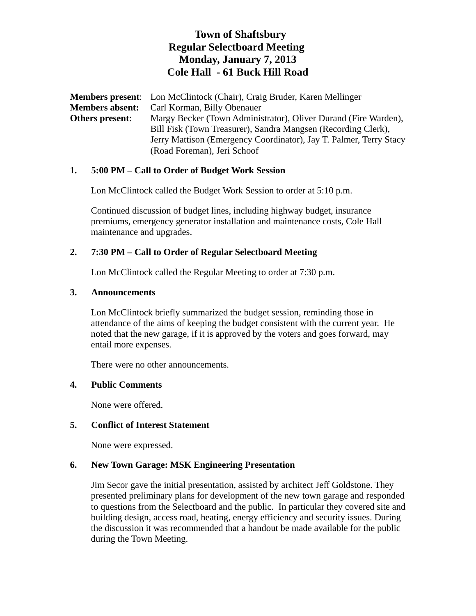# **Town of Shaftsbury Regular Selectboard Meeting Monday, January 7, 2013 Cole Hall - 61 Buck Hill Road**

**Members present**: Lon McClintock (Chair), Craig Bruder, Karen Mellinger **Members absent:** Carl Korman, Billy Obenauer **Others present**: Margy Becker (Town Administrator), Oliver Durand (Fire Warden), Bill Fisk (Town Treasurer), Sandra Mangsen (Recording Clerk), Jerry Mattison (Emergency Coordinator), Jay T. Palmer, Terry Stacy (Road Foreman), Jeri Schoof

#### **1. 5:00 PM – Call to Order of Budget Work Session**

Lon McClintock called the Budget Work Session to order at 5:10 p.m.

Continued discussion of budget lines, including highway budget, insurance premiums, emergency generator installation and maintenance costs, Cole Hall maintenance and upgrades.

## **2. 7:30 PM – Call to Order of Regular Selectboard Meeting**

Lon McClintock called the Regular Meeting to order at 7:30 p.m.

#### **3. Announcements**

Lon McClintock briefly summarized the budget session, reminding those in attendance of the aims of keeping the budget consistent with the current year. He noted that the new garage, if it is approved by the voters and goes forward, may entail more expenses.

There were no other announcements.

#### **4. Public Comments**

None were offered.

#### **5. Conflict of Interest Statement**

None were expressed.

#### **6. New Town Garage: MSK Engineering Presentation**

Jim Secor gave the initial presentation, assisted by architect Jeff Goldstone. They presented preliminary plans for development of the new town garage and responded to questions from the Selectboard and the public. In particular they covered site and building design, access road, heating, energy efficiency and security issues. During the discussion it was recommended that a handout be made available for the public during the Town Meeting.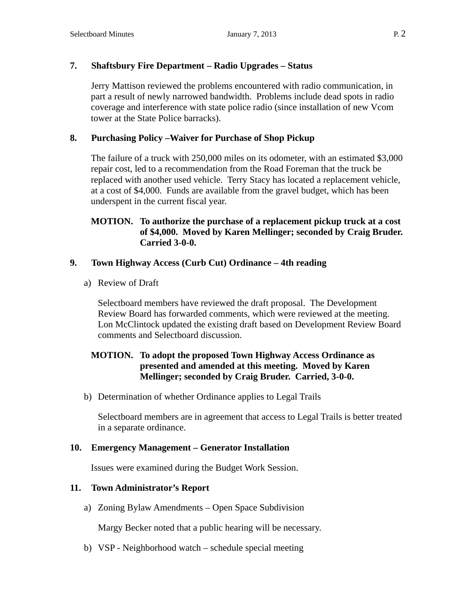# **7. Shaftsbury Fire Department – Radio Upgrades – Status**

Jerry Mattison reviewed the problems encountered with radio communication, in part a result of newly narrowed bandwidth. Problems include dead spots in radio coverage and interference with state police radio (since installation of new Vcom tower at the State Police barracks).

### **8. Purchasing Policy –Waiver for Purchase of Shop Pickup**

The failure of a truck with 250,000 miles on its odometer, with an estimated \$3,000 repair cost, led to a recommendation from the Road Foreman that the truck be replaced with another used vehicle. Terry Stacy has located a replacement vehicle, at a cost of \$4,000. Funds are available from the gravel budget, which has been underspent in the current fiscal year.

#### **MOTION. To authorize the purchase of a replacement pickup truck at a cost of \$4,000. Moved by Karen Mellinger; seconded by Craig Bruder. Carried 3-0-0.**

### **9. Town Highway Access (Curb Cut) Ordinance – 4th reading**

a) Review of Draft

Selectboard members have reviewed the draft proposal. The Development Review Board has forwarded comments, which were reviewed at the meeting. Lon McClintock updated the existing draft based on Development Review Board comments and Selectboard discussion.

### **MOTION. To adopt the proposed Town Highway Access Ordinance as presented and amended at this meeting. Moved by Karen Mellinger; seconded by Craig Bruder. Carried, 3-0-0.**

b) Determination of whether Ordinance applies to Legal Trails

Selectboard members are in agreement that access to Legal Trails is better treated in a separate ordinance.

### **10. Emergency Management – Generator Installation**

Issues were examined during the Budget Work Session.

### **11. Town Administrator's Report**

a) Zoning Bylaw Amendments – Open Space Subdivision

Margy Becker noted that a public hearing will be necessary.

b) VSP - Neighborhood watch – schedule special meeting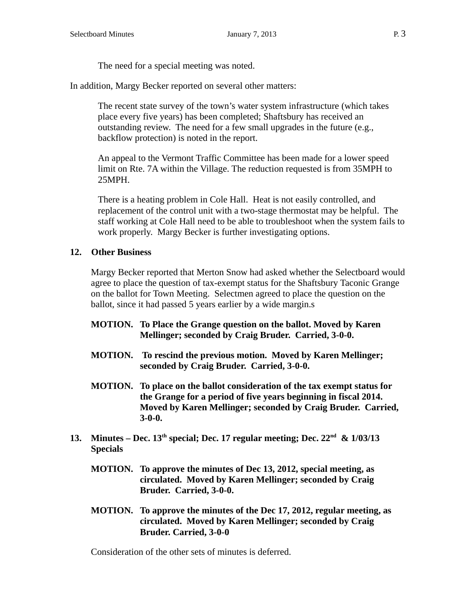The need for a special meeting was noted.

In addition, Margy Becker reported on several other matters:

The recent state survey of the town's water system infrastructure (which takes place every five years) has been completed; Shaftsbury has received an outstanding review. The need for a few small upgrades in the future (e.g., backflow protection) is noted in the report.

An appeal to the Vermont Traffic Committee has been made for a lower speed limit on Rte. 7A within the Village. The reduction requested is from 35MPH to 25MPH.

There is a heating problem in Cole Hall. Heat is not easily controlled, and replacement of the control unit with a two-stage thermostat may be helpful. The staff working at Cole Hall need to be able to troubleshoot when the system fails to work properly. Margy Becker is further investigating options.

#### **12. Other Business**

Margy Becker reported that Merton Snow had asked whether the Selectboard would agree to place the question of tax-exempt status for the Shaftsbury Taconic Grange on the ballot for Town Meeting. Selectmen agreed to place the question on the ballot, since it had passed 5 years earlier by a wide margin.s

- **MOTION. To Place the Grange question on the ballot. Moved by Karen Mellinger; seconded by Craig Bruder. Carried, 3-0-0.**
- **MOTION. To rescind the previous motion. Moved by Karen Mellinger; seconded by Craig Bruder. Carried, 3-0-0.**
- **MOTION. To place on the ballot consideration of the tax exempt status for the Grange for a period of five years beginning in fiscal 2014. Moved by Karen Mellinger; seconded by Craig Bruder. Carried, 3-0-0.**
- 13. Minutes Dec.  $13<sup>th</sup>$  special; Dec. 17 regular meeting; Dec.  $22<sup>nd</sup>$  &  $1/03/13$ **Specials**
	- **MOTION. To approve the minutes of Dec 13, 2012, special meeting, as circulated. Moved by Karen Mellinger; seconded by Craig Bruder. Carried, 3-0-0.**
	- **MOTION. To approve the minutes of the Dec 17, 2012, regular meeting, as circulated. Moved by Karen Mellinger; seconded by Craig Bruder. Carried, 3-0-0**

Consideration of the other sets of minutes is deferred.